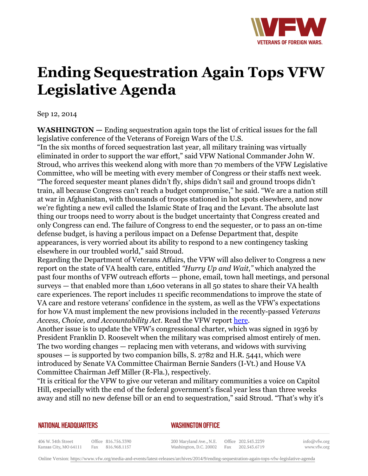

## **Ending Sequestration Again Tops VFW Legislative Agenda**

Sep 12, 2014

**WASHINGTON —** Ending sequestration again tops the list of critical issues for the fall legislative conference of the Veterans of Foreign Wars of the U.S.

"In the six months of forced sequestration last year, all military training was virtually eliminated in order to support the war effort," said VFW National Commander John W. Stroud, who arrives this weekend along with more than 70 members of the VFW Legislative Committee, who will be meeting with every member of Congress or their staffs next week. "The forced sequester meant planes didn't fly, ships didn't sail and ground troops didn't train, all because Congress can't reach a budget compromise," he said. "We are a nation still at war in Afghanistan, with thousands of troops stationed in hot spots elsewhere, and now we're fighting a new evil called the Islamic State of Iraq and the Levant. The absolute last thing our troops need to worry about is the budget uncertainty that Congress created and only Congress can end. The failure of Congress to end the sequester, or to pass an on-time defense budget, is having a perilous impact on a Defense Department that, despite appearances, is very worried about its ability to respond to a new contingency tasking elsewhere in our troubled world," said Stroud.

Regarding the Department of Veterans Affairs, the VFW will also deliver to Congress a new report on the state of VA health care, entitled *"Hurry Up and Wait,"* which analyzed the past four months of VFW outreach efforts — phone, email, town hall meetings, and personal surveys — that enabled more than 1,600 veterans in all 50 states to share their VA health care experiences. The report includes 11 specific recommendations to improve the state of VA care and restore veterans' confidence in the system, as well as the VFW's expectations for how VA must implement the new provisions included in the recently-passed *Veterans Access, Choice, and Accountability Act*. Read the VFW report [here.](http:http://www.vfw.org/uploadedFiles/VFW.org/VFW_in_DC/VFW%20Report%20on%20State%20of%20VA%202014.pdf)

Another issue is to update the VFW's congressional charter, which was signed in 1936 by President Franklin D. Roosevelt when the military was comprised almost entirely of men. The two wording changes — replacing men with veterans, and widows with surviving spouses  $-$  is supported by two companion bills, S. 2782 and H.R. 5441, which were introduced by Senate VA Committee Chairman Bernie Sanders (I-Vt.) and House VA Committee Chairman Jeff Miller (R-Fla.), respectively.

"It is critical for the VFW to give our veteran and military communities a voice on Capitol Hill, especially with the end of the federal government's fiscal year less than three weeks away and still no new defense bill or an end to sequestration," said Stroud. "That's why it's

## **NATIONAL HEADQUARTERS**

*WASHINGTON OFFICE* 

406 W. 34th Street Office 816.756.3390 Kansas City, MO 64111 Fax 816.968.1157

200 Maryland Ave., N.E. Washington, D.C. 20002

Office 202.543.2239 Fax 202.543.6719 info@vfw.org www.vfw.org

Online Version:<https://www.vfw.org/media-and-events/latest-releases/archives/2014/9/ending-sequestration-again-tops-vfw-legislative-agenda>